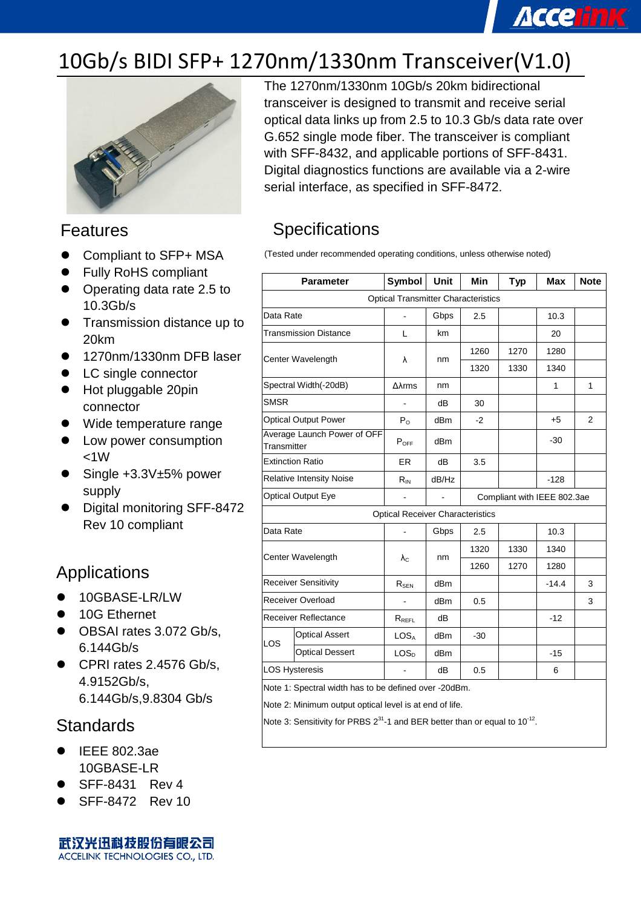# **Accelink**

## 10Gb/s BIDI SFP+ 1270nm/1330nm Transceiver(V1.0)



#### Features

- Compliant to SFP+ MSA
- Fully RoHS compliant
- Operating data rate 2.5 to 10.3Gb/s
- **Transmission distance up to** 20km
- 1270nm/1330nm DFB laser
- LC single connector
- Hot pluggable 20pin connector
- Wide temperature range
- Low power consumption  $<1W$
- Single +3.3V±5% power supply
- Digital monitoring SFF-8472 Rev 10 compliant

#### Applications

- 10GBASE-LR/LW
- 10G Ethernet
- OBSAI rates 3.072 Gb/s, 6.144Gb/s
- CPRI rates 2.4576 Gb/s, 4.9152Gb/s, 6.144Gb/s,9.8304 Gb/s

#### **Standards**

- IEEE 802.3ae 10GBASE-LR
- SFF-8431 Rev 4
- SFF-8472 Rev 10

武汉光迅科技股份有限公司 ACCELINK TECHNOLOGIES CO., LTD.

The 1270nm/1330nm 10Gb/s 20km bidirectional transceiver is designed to transmit and receive serial optical data links up from 2.5 to 10.3 Gb/s data rate over G.652 single mode fiber. The transceiver is compliant with SFF-8432, and applicable portions of SFF-8431. Digital diagnostics functions are available via a 2-wire serial interface, as specified in SFF-8472.

### **Specifications**

(Tested under recommended operating conditions, unless otherwise noted)

| <b>Parameter</b>                                      |                              | <b>Symbol</b>                           | <b>Unit</b> | Min  | <b>Typ</b>                  | Max     | <b>Note</b>   |  |  |  |
|-------------------------------------------------------|------------------------------|-----------------------------------------|-------------|------|-----------------------------|---------|---------------|--|--|--|
| <b>Optical Transmitter Characteristics</b>            |                              |                                         |             |      |                             |         |               |  |  |  |
| Data Rate                                             |                              | ÷,                                      | Gbps        | 2.5  |                             | 10.3    |               |  |  |  |
|                                                       | <b>Transmission Distance</b> |                                         | km          |      |                             | 20      |               |  |  |  |
| Center Wavelength                                     |                              | λ                                       | nm          | 1260 | 1270                        | 1280    |               |  |  |  |
|                                                       |                              |                                         |             | 1320 | 1330                        | 1340    |               |  |  |  |
|                                                       | Spectral Width(-20dB)        | $\Delta\lambda$ rms                     | nm          |      |                             | 1       | 1             |  |  |  |
| <b>SMSR</b>                                           |                              |                                         | dB          | 30   |                             |         |               |  |  |  |
|                                                       | <b>Optical Output Power</b>  | $P_{O}$                                 | dBm         | $-2$ |                             | $+5$    | $\mathcal{P}$ |  |  |  |
| Transmitter                                           | Average Launch Power of OFF  | $P_{OFF}$                               | dBm         |      |                             | $-30$   |               |  |  |  |
|                                                       | <b>Extinction Ratio</b>      | ER.                                     | dB          | 3.5  |                             |         |               |  |  |  |
| <b>Relative Intensity Noise</b>                       |                              | $R_{IN}$                                | dB/Hz       |      |                             | $-128$  |               |  |  |  |
| <b>Optical Output Eye</b>                             |                              | $\blacksquare$                          |             |      | Compliant with IEEE 802.3ae |         |               |  |  |  |
|                                                       |                              | <b>Optical Receiver Characteristics</b> |             |      |                             |         |               |  |  |  |
| Data Rate                                             |                              |                                         | Gbps        | 2.5  |                             | 10.3    |               |  |  |  |
| Center Wavelength                                     |                              |                                         | nm          | 1320 | 1330                        | 1340    |               |  |  |  |
|                                                       |                              | $\lambda_{\rm C}$                       |             | 1260 | 1270                        | 1280    |               |  |  |  |
|                                                       | <b>Receiver Sensitivity</b>  |                                         | dBm         |      |                             | $-14.4$ | 3             |  |  |  |
| <b>Receiver Overload</b>                              |                              | ä,                                      | dBm         | 0.5  |                             |         | 3             |  |  |  |
| <b>Receiver Reflectance</b>                           |                              | $R_{REFL}$                              | dB          |      |                             | $-12$   |               |  |  |  |
| LOS                                                   | <b>Optical Assert</b>        | LOSA                                    | dBm         | -30  |                             |         |               |  |  |  |
|                                                       | <b>Optical Dessert</b>       | LOS <sub>D</sub>                        | dBm         |      |                             | $-15$   |               |  |  |  |
| <b>LOS Hysteresis</b>                                 |                              |                                         | dB          | 0.5  |                             | 6       |               |  |  |  |
| Note 1: Spectral width has to be defined over -20dBm. |                              |                                         |             |      |                             |         |               |  |  |  |

Note 2: Minimum output optical level is at end of life.

Note 3: Sensitivity for PRBS  $2^{31}$ -1 and BER better than or equal to 10<sup>-12</sup>.